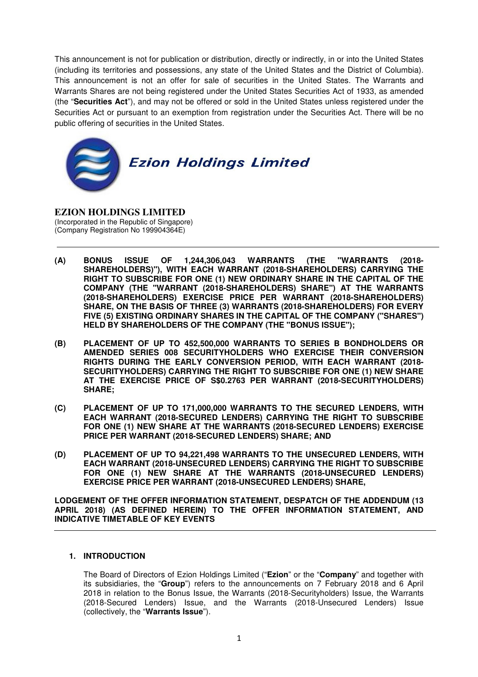This announcement is not for publication or distribution, directly or indirectly, in or into the United States (including its territories and possessions, any state of the United States and the District of Columbia). This announcement is not an offer for sale of securities in the United States. The Warrants and Warrants Shares are not being registered under the United States Securities Act of 1933, as amended (the "**Securities Act**"), and may not be offered or sold in the United States unless registered under the Securities Act or pursuant to an exemption from registration under the Securities Act. There will be no public offering of securities in the United States.



**EZION HOLDINGS LIMITED**  (Incorporated in the Republic of Singapore) (Company Registration No 199904364E)

- **(A) BONUS ISSUE OF 1,244,306,043 WARRANTS (THE "WARRANTS (2018- SHAREHOLDERS)"), WITH EACH WARRANT (2018-SHAREHOLDERS) CARRYING THE RIGHT TO SUBSCRIBE FOR ONE (1) NEW ORDINARY SHARE IN THE CAPITAL OF THE COMPANY (THE "WARRANT (2018-SHAREHOLDERS) SHARE") AT THE WARRANTS (2018-SHAREHOLDERS) EXERCISE PRICE PER WARRANT (2018-SHAREHOLDERS) SHARE, ON THE BASIS OF THREE (3) WARRANTS (2018-SHAREHOLDERS) FOR EVERY FIVE (5) EXISTING ORDINARY SHARES IN THE CAPITAL OF THE COMPANY ("SHARES") HELD BY SHAREHOLDERS OF THE COMPANY (THE "BONUS ISSUE");**
- **(B) PLACEMENT OF UP TO 452,500,000 WARRANTS TO SERIES B BONDHOLDERS OR AMENDED SERIES 008 SECURITYHOLDERS WHO EXERCISE THEIR CONVERSION RIGHTS DURING THE EARLY CONVERSION PERIOD, WITH EACH WARRANT (2018- SECURITYHOLDERS) CARRYING THE RIGHT TO SUBSCRIBE FOR ONE (1) NEW SHARE AT THE EXERCISE PRICE OF S\$0.2763 PER WARRANT (2018-SECURITYHOLDERS) SHARE;**
- **(C) PLACEMENT OF UP TO 171,000,000 WARRANTS TO THE SECURED LENDERS, WITH EACH WARRANT (2018-SECURED LENDERS) CARRYING THE RIGHT TO SUBSCRIBE FOR ONE (1) NEW SHARE AT THE WARRANTS (2018-SECURED LENDERS) EXERCISE PRICE PER WARRANT (2018-SECURED LENDERS) SHARE; AND**
- **(D) PLACEMENT OF UP TO 94,221,498 WARRANTS TO THE UNSECURED LENDERS, WITH EACH WARRANT (2018-UNSECURED LENDERS) CARRYING THE RIGHT TO SUBSCRIBE**  FOR ONE (1) NEW SHARE AT THE WARRANTS (2018-UNSECURED LENDERS) **EXERCISE PRICE PER WARRANT (2018-UNSECURED LENDERS) SHARE,**

**LODGEMENT OF THE OFFER INFORMATION STATEMENT, DESPATCH OF THE ADDENDUM (13 APRIL 2018) (AS DEFINED HEREIN) TO THE OFFER INFORMATION STATEMENT, AND INDICATIVE TIMETABLE OF KEY EVENTS** 

## **1. INTRODUCTION**

The Board of Directors of Ezion Holdings Limited ("**Ezion**" or the "**Company**" and together with its subsidiaries, the "**Group**") refers to the announcements on 7 February 2018 and 6 April 2018 in relation to the Bonus Issue, the Warrants (2018-Securityholders) Issue, the Warrants (2018-Secured Lenders) Issue, and the Warrants (2018-Unsecured Lenders) Issue (collectively, the "**Warrants Issue**").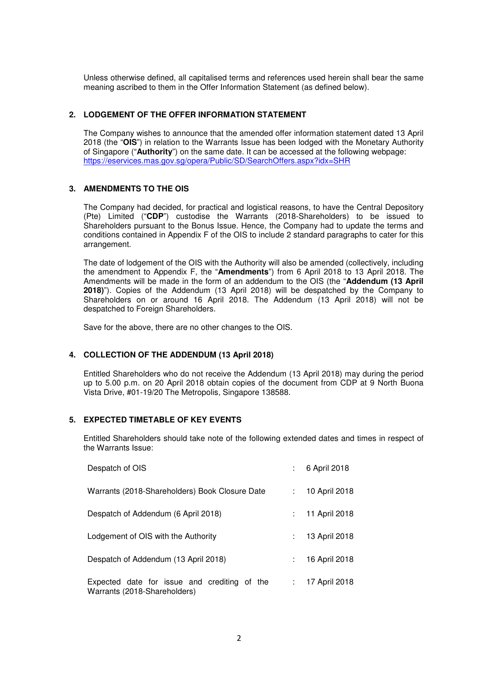Unless otherwise defined, all capitalised terms and references used herein shall bear the same meaning ascribed to them in the Offer Information Statement (as defined below).

# **2. LODGEMENT OF THE OFFER INFORMATION STATEMENT**

The Company wishes to announce that the amended offer information statement dated 13 April 2018 (the "**OIS**") in relation to the Warrants Issue has been lodged with the Monetary Authority of Singapore ("**Authority**") on the same date. It can be accessed at the following webpage: https://eservices.mas.gov.sg/opera/Public/SD/SearchOffers.aspx?idx=SHR

## **3. AMENDMENTS TO THE OIS**

The Company had decided, for practical and logistical reasons, to have the Central Depository (Pte) Limited ("**CDP**") custodise the Warrants (2018-Shareholders) to be issued to Shareholders pursuant to the Bonus Issue. Hence, the Company had to update the terms and conditions contained in Appendix F of the OIS to include 2 standard paragraphs to cater for this arrangement.

The date of lodgement of the OIS with the Authority will also be amended (collectively, including the amendment to Appendix F, the "**Amendments**") from 6 April 2018 to 13 April 2018. The Amendments will be made in the form of an addendum to the OIS (the "**Addendum (13 April 2018)**"). Copies of the Addendum (13 April 2018) will be despatched by the Company to Shareholders on or around 16 April 2018. The Addendum (13 April 2018) will not be despatched to Foreign Shareholders.

Save for the above, there are no other changes to the OIS.

## **4. COLLECTION OF THE ADDENDUM (13 April 2018)**

Entitled Shareholders who do not receive the Addendum (13 April 2018) may during the period up to 5.00 p.m. on 20 April 2018 obtain copies of the document from CDP at 9 North Buona Vista Drive, #01-19/20 The Metropolis, Singapore 138588.

## **5. EXPECTED TIMETABLE OF KEY EVENTS**

Entitled Shareholders should take note of the following extended dates and times in respect of the Warrants Issue:

| Despatch of OIS                                                              |                  | : 6 April 2018    |
|------------------------------------------------------------------------------|------------------|-------------------|
| Warrants (2018-Shareholders) Book Closure Date                               | $\mathbb{R}^{n}$ | 10 April 2018     |
| Despatch of Addendum (6 April 2018)                                          | ÷.               | 11 April 2018     |
| Lodgement of OIS with the Authority                                          |                  | 13 April 2018     |
| Despatch of Addendum (13 April 2018)                                         | ÷.               | 16 April 2018     |
| Expected date for issue and crediting of the<br>Warrants (2018-Shareholders) |                  | $: 17$ April 2018 |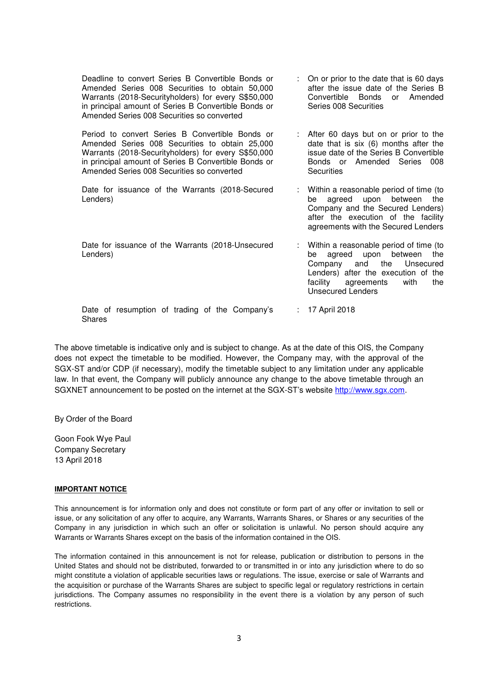| Deadline to convert Series B Convertible Bonds or<br>Amended Series 008 Securities to obtain 50,000<br>Warrants (2018-Securityholders) for every S\$50,000<br>in principal amount of Series B Convertible Bonds or<br>Amended Series 008 Securities so converted | : On or prior to the date that is 60 days<br>after the issue date of the Series B<br>Convertible Bonds or Amended<br>Series 008 Securities               |
|------------------------------------------------------------------------------------------------------------------------------------------------------------------------------------------------------------------------------------------------------------------|----------------------------------------------------------------------------------------------------------------------------------------------------------|
| Period to convert Series B Convertible Bonds or<br>Amended Series 008 Securities to obtain 25,000<br>Warrants (2018-Securityholders) for every S\$50,000<br>in principal amount of Series B Convertible Bonds or                                                 | : After 60 days but on or prior to the<br>date that is six (6) months after the<br>issue date of the Series B Convertible<br>Bonds or Amended Series 008 |

Date for issuance of the Warrants (2018-Secured Lenders)

Amended Series 008 Securities so converted

: Within a reasonable period of time (to be agreed upon between the Company and the Secured Lenders) after the execution of the facility agreements with the Secured Lenders

**Securities** 

Date for issuance of the Warrants (2018-Unsecured Lenders)

: Within a reasonable period of time (to be agreed upon between the Company and the Unsecured Lenders) after the execution of the facility agreements with the Unsecured Lenders

Date of resumption of trading of the Company's Shares : 17 April 2018

The above timetable is indicative only and is subject to change. As at the date of this OIS, the Company does not expect the timetable to be modified. However, the Company may, with the approval of the SGX-ST and/or CDP (if necessary), modify the timetable subject to any limitation under any applicable law. In that event, the Company will publicly announce any change to the above timetable through an SGXNET announcement to be posted on the internet at the SGX-ST's website http://www.sgx.com.

By Order of the Board

Goon Fook Wye Paul Company Secretary 13 April 2018

### **IMPORTANT NOTICE**

This announcement is for information only and does not constitute or form part of any offer or invitation to sell or issue, or any solicitation of any offer to acquire, any Warrants, Warrants Shares, or Shares or any securities of the Company in any jurisdiction in which such an offer or solicitation is unlawful. No person should acquire any Warrants or Warrants Shares except on the basis of the information contained in the OIS.

The information contained in this announcement is not for release, publication or distribution to persons in the United States and should not be distributed, forwarded to or transmitted in or into any jurisdiction where to do so might constitute a violation of applicable securities laws or regulations. The issue, exercise or sale of Warrants and the acquisition or purchase of the Warrants Shares are subject to specific legal or regulatory restrictions in certain jurisdictions. The Company assumes no responsibility in the event there is a violation by any person of such restrictions.